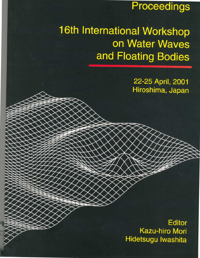# Proceedings

# 16th International Workshop on Water Waves and Floating Bodies

22-25 April, 2001 Hiroshima, Japan

**Editor Kazu-hiro Mori** Hidetsugu Iwashita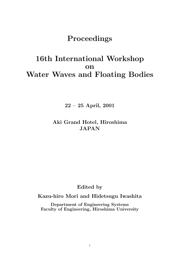## **Proceedings**

# **16th International Workshop on Water Waves and Floating Bodies**

**22 – 25 April, 2001**

## **Aki Grand Hotel, Hiroshima JAPAN**

**Edited by**

**Kazu-hiro Mori and Hidetsugu Iwashita**

**Department of Engineering Systems Faculty of Engineering, Hiroshima University**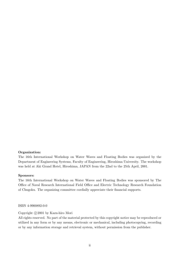### **Organization:**

The 16th International Workshop on Water Waves and Floating Bodies was organized by the Department of Engineering Systems, Faculty of Engineering, Hiroshima University. The workshop was held at Aki Grand Hotel, Hiroshima, JAPAN from the 22nd to the 25th April, 2001.

### **Sponsors:**

The 16th International Workshop on Water Waves and Floating Bodies was sponsored by The Office of Naval Research International Field Office and Electric Technology Research Foundation of Chugoku. The organizing committee cordially appreciate their financial supports.

ISBN 4-9900892-0-0

Copyright  $\odot$  2001 by Kazu-hiro Mori

All rights reserved. No part of the material protected by this copyright notice may be reproduced or utilized in any form or by any means, electronic or mechanical, including photocopying, recording or by any information storage and retrieval system, without permission from the publisher.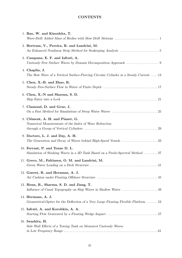### **CONTENTS**

| 1. Bao, W. and Kinoshita, T.                                                                                      |
|-------------------------------------------------------------------------------------------------------------------|
| 2. Bertram, V., Pereira, R. and Landrini, M.                                                                      |
| 3. Campana, E. F. and Iafrati, A.                                                                                 |
| 4. Chaplin, J.<br>The Bow Wave of a Vertical Surface-Piercing Circular Cylinder in a Steady Current 13            |
| 5. Chen, X.-B. and Zhao, R.                                                                                       |
| 6. Chen, X.-N and Sharma, S. D.                                                                                   |
| 7. Clamond, D. and Grue, J.                                                                                       |
| 8. Clément, A. H. and Pianet, G.<br>Numerical Measurements of the Index of Wave Refraction                        |
| 9. Doctors, L. J. and Day, A. H.                                                                                  |
| 10. Ferrant, P. and Touze D. L.<br>Simulation of Sloshing Waves in a 3D Tank Based on a Psedo-Spectral Method  37 |
|                                                                                                                   |
| 11. Greco, M., Faltinsen, O. M. and Landrini, M.                                                                  |
| 12. Gueret, R. and Hermans, A. J.                                                                                 |
| 13. Henn, R., Sharma, S. D. and Jiang, T.                                                                         |
| 14. Hermans, A. J.<br>Geometrical-Optics for the Deflection of a Very Large Floating Flexible Platform 53         |
| 15. Iafrati, A. and Korobkin, A. A.                                                                               |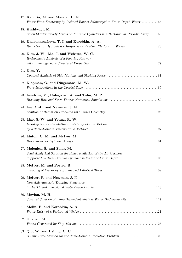| 17. Kanoria, M. and Mandal, B. N.<br>Water Wave Scattering by Inclined Barrier Submerged in Finite Depth Water 65 |
|-------------------------------------------------------------------------------------------------------------------|
| 18. Kashiwagi, M.<br>Second-Order Steady Forces on Multiple Cylinders in a Rectangular Periodic Array  69         |
| 19. Khabakhpasheva, T. I. and Korobkin, A. A.                                                                     |
| 20. Kim, J. W., Ma, J. and Webster, W. C.<br>Hydroelastic Analysis of a Floating Runway                           |
| 21. Kim, Y.                                                                                                       |
| 22. Klopman, G. and Dingemans, M. W.                                                                              |
| 23. Landrini, M., Colagrossi, A. and Tulin, M. P.                                                                 |
| 24. Lee, C.-H. and Newman, J. N.                                                                                  |
| 25. Liao, S.-W. and Yeung, R. W.<br>Investigation of the Mathieu Instability of Roll Motion                       |
| 26. Linton, C. M. and McIver, M.                                                                                  |
| 27. Malenica, S. and Zalar, M.<br>Semi Analytical Solution for Heave Radiation of the Air Cushion                 |
| 28. McIver, M. and Porter, R.                                                                                     |
| 29. McIver, P. and Newman, J. N.<br>Non-Axisymmetric Trapping Structures                                          |
| 30. Meylan, M. H.<br>Spectral Solution of Time-Dependent Shallow Water Hydroelasticity 117                        |
| 31. Molin, B. and Korobkin, A. A.                                                                                 |
| 32. Ohkusu, M.                                                                                                    |
| 33. Qiu, W. and Hsiung, C. C.                                                                                     |